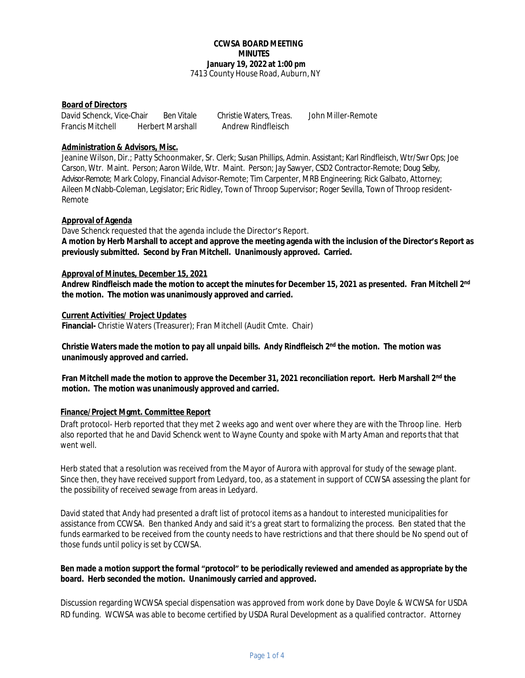#### **CCWSA BOARD MEETING MINUTES January 19, 2022 at 1:00 pm** 7413 County House Road, Auburn, NY

### **Board of Directors**

David Schenck, Vice-Chair Ben Vitale Christie Waters, Treas. John Miller-Remote Francis Mitchell Herbert Marshall Andrew Rindfleisch

# **Administration & Advisors, Misc.**

Jeanine Wilson, Dir.; Patty Schoonmaker, Sr. Clerk; Susan Phillips, Admin. Assistant; Karl Rindfleisch, Wtr/Swr Ops; Joe Carson, Wtr. Maint. Person; Aaron Wilde, Wtr. Maint. Person; Jay Sawyer, CSD2 Contractor-Remote; Doug Selby, Advisor-Remote; Mark Colopy, Financial Advisor-Remote; Tim Carpenter, MRB Engineering; Rick Galbato, Attorney; Aileen McNabb-Coleman, Legislator; Eric Ridley, Town of Throop Supervisor; Roger Sevilla, Town of Throop resident-Remote

### **Approval of Agenda**

Dave Schenck requested that the agenda include the Director's Report. **A motion by Herb Marshall to accept and approve the meeting agenda with the inclusion of the Director's Report as previously submitted. Second by Fran Mitchell. Unanimously approved. Carried.** 

# **Approval of Minutes, December 15, 2021**

**Andrew Rindfleisch made the motion to accept the minutes for December 15, 2021 as presented. Fran Mitchell 2nd the motion. The motion was unanimously approved and carried.**

#### **Current Activities/ Project Updates**

**Financial-** Christie Waters (Treasurer); Fran Mitchell (Audit Cmte. Chair)

**Christie Waters made the motion to pay all unpaid bills. Andy Rindfleisch 2nd the motion. The motion was unanimously approved and carried.** 

**Fran Mitchell made the motion to approve the December 31, 2021 reconciliation report. Herb Marshall 2nd the motion. The motion was unanimously approved and carried.**

# **Finance/Project Mgmt. Committee Report**

Draft protocol- Herb reported that they met 2 weeks ago and went over where they are with the Throop line. Herb also reported that he and David Schenck went to Wayne County and spoke with Marty Aman and reports that that went well.

Herb stated that a resolution was received from the Mayor of Aurora with approval for study of the sewage plant. Since then, they have received support from Ledyard, too, as a statement in support of CCWSA assessing the plant for the possibility of received sewage from areas in Ledyard.

David stated that Andy had presented a draft list of protocol items as a handout to interested municipalities for assistance from CCWSA. Ben thanked Andy and said it's a great start to formalizing the process. Ben stated that the funds earmarked to be received from the county needs to have restrictions and that there should be No spend out of those funds until policy is set by CCWSA.

### **Ben made a motion support the formal "protocol" to be periodically reviewed and amended as appropriate by the board. Herb seconded the motion. Unanimously carried and approved.**

Discussion regarding WCWSA special dispensation was approved from work done by Dave Doyle & WCWSA for USDA RD funding. WCWSA was able to become certified by USDA Rural Development as a qualified contractor. Attorney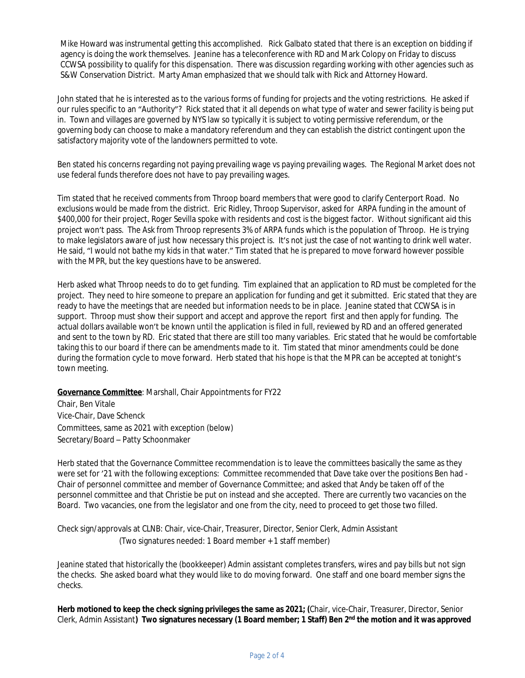Mike Howard was instrumental getting this accomplished. Rick Galbato stated that there is an exception on bidding if agency is doing the work themselves. Jeanine has a teleconference with RD and Mark Colopy on Friday to discuss CCWSA possibility to qualify for this dispensation. There was discussion regarding working with other agencies such as S&W Conservation District. Marty Aman emphasized that we should talk with Rick and Attorney Howard.

John stated that he is interested as to the various forms of funding for projects and the voting restrictions. He asked if our rules specific to an "Authority"? Rick stated that it all depends on what type of water and sewer facility is being put in. Town and villages are governed by NYS law so typically it is subject to voting permissive referendum, or the governing body can choose to make a mandatory referendum and they can establish the district contingent upon the satisfactory majority vote of the landowners permitted to vote.

Ben stated his concerns regarding not paying prevailing wage vs paying prevailing wages. The Regional Market does not use federal funds therefore does not have to pay prevailing wages.

Tim stated that he received comments from Throop board members that were good to clarify Centerport Road. No exclusions would be made from the district. Eric Ridley, Throop Supervisor, asked for ARPA funding in the amount of \$400,000 for their project, Roger Sevilla spoke with residents and cost is the biggest factor. Without significant aid this project won't pass. The Ask from Throop represents 3% of ARPA funds which is the population of Throop. He is trying to make legislators aware of just how necessary this project is. It's not just the case of not wanting to drink well water. He said, "I would not bathe my kids in that water." Tim stated that he is prepared to move forward however possible with the MPR, but the key questions have to be answered.

Herb asked what Throop needs to do to get funding. Tim explained that an application to RD must be completed for the project. They need to hire someone to prepare an application for funding and get it submitted. Eric stated that they are ready to have the meetings that are needed but information needs to be in place. Jeanine stated that CCWSA is in support. Throop must show their support and accept and approve the report first and then apply for funding. The actual dollars available won't be known until the application is filed in full, reviewed by RD and an offered generated and sent to the town by RD. Eric stated that there are still too many variables. Eric stated that he would be comfortable taking this to our board if there can be amendments made to it. Tim stated that minor amendments could be done during the formation cycle to move forward. Herb stated that his hope is that the MPR can be accepted at tonight's town meeting.

**Governance Committee**: Marshall, Chair Appointments for FY22

Chair, Ben Vitale Vice-Chair, Dave Schenck Committees, same as 2021 with exception (below) Secretary/Board – Patty Schoonmaker

Herb stated that the Governance Committee recommendation is to leave the committees basically the same as they were set for '21 with the following exceptions: Committee recommended that Dave take over the positions Ben had - Chair of personnel committee and member of Governance Committee; and asked that Andy be taken off of the personnel committee and that Christie be put on instead and she accepted. There are currently two vacancies on the Board. Two vacancies, one from the legislator and one from the city, need to proceed to get those two filled.

Check sign/approvals at CLNB: Chair, vice-Chair, Treasurer, Director, Senior Clerk, Admin Assistant (Two signatures needed: 1 Board member + 1 staff member)

Jeanine stated that historically the (bookkeeper) Admin assistant completes transfers, wires and pay bills but not sign the checks. She asked board what they would like to do moving forward. One staff and one board member signs the checks.

**Herb motioned to keep the check signing privileges the same as 2021; (**Chair, vice-Chair, Treasurer, Director, Senior Clerk, Admin Assistant**) Two signatures necessary (1 Board member; 1 Staff) Ben 2nd the motion and it was approved**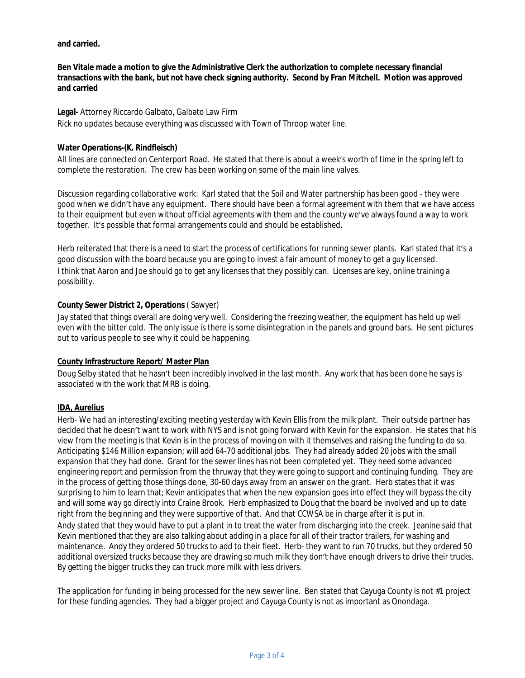**and carried.**

**Ben Vitale made a motion to give the Administrative Clerk the authorization to complete necessary financial transactions with the bank, but not have check signing authority. Second by Fran Mitchell. Motion was approved and carried**

#### **Legal-** Attorney Riccardo Galbato, Galbato Law Firm

Rick no updates because everything was discussed with Town of Throop water line.

## **Water Operations-(K. Rindfleisch)**

All lines are connected on Centerport Road. He stated that there is about a week's worth of time in the spring left to complete the restoration. The crew has been working on some of the main line valves.

Discussion regarding collaborative work: Karl stated that the Soil and Water partnership has been good - they were good when we didn't have any equipment. There should have been a formal agreement with them that we have access to their equipment but even without official agreements with them and the county we've always found a way to work together. It's possible that formal arrangements could and should be established.

Herb reiterated that there is a need to start the process of certifications for running sewer plants. Karl stated that it's a good discussion with the board because you are going to invest a fair amount of money to get a guy licensed. I think that Aaron and Joe should go to get any licenses that they possibly can. Licenses are key, online training a possibility.

### **County Sewer District 2, Operations** ( Sawyer)

Jay stated that things overall are doing very well. Considering the freezing weather, the equipment has held up well even with the bitter cold. The only issue is there is some disintegration in the panels and ground bars. He sent pictures out to various people to see why it could be happening.

#### **County Infrastructure Report/ Master Plan**

Doug Selby stated that he hasn't been incredibly involved in the last month. Any work that has been done he says is associated with the work that MRB is doing.

# **IDA, Aurelius**

Herb- We had an interesting/exciting meeting yesterday with Kevin Ellis from the milk plant. Their outside partner has decided that he doesn't want to work with NYS and is not going forward with Kevin for the expansion. He states that his view from the meeting is that Kevin is in the process of moving on with it themselves and raising the funding to do so. Anticipating \$146 Million expansion; will add 64-70 additional jobs. They had already added 20 jobs with the small expansion that they had done. Grant for the sewer lines has not been completed yet. They need some advanced engineering report and permission from the thruway that they were going to support and continuing funding. They are in the process of getting those things done, 30-60 days away from an answer on the grant. Herb states that it was surprising to him to learn that; Kevin anticipates that when the new expansion goes into effect they will bypass the city and will some way go directly into Craine Brook. Herb emphasized to Doug that the board be involved and up to date right from the beginning and they were supportive of that. And that CCWSA be in charge after it is put in. Andy stated that they would have to put a plant in to treat the water from discharging into the creek. Jeanine said that Kevin mentioned that they are also talking about adding in a place for all of their tractor trailers, for washing and maintenance. Andy they ordered 50 trucks to add to their fleet. Herb- they want to run 70 trucks, but they ordered 50 additional oversized trucks because they are drawing so much milk they don't have enough drivers to drive their trucks. By getting the bigger trucks they can truck more milk with less drivers.

The application for funding in being processed for the new sewer line. Ben stated that Cayuga County is not #1 project for these funding agencies. They had a bigger project and Cayuga County is not as important as Onondaga.